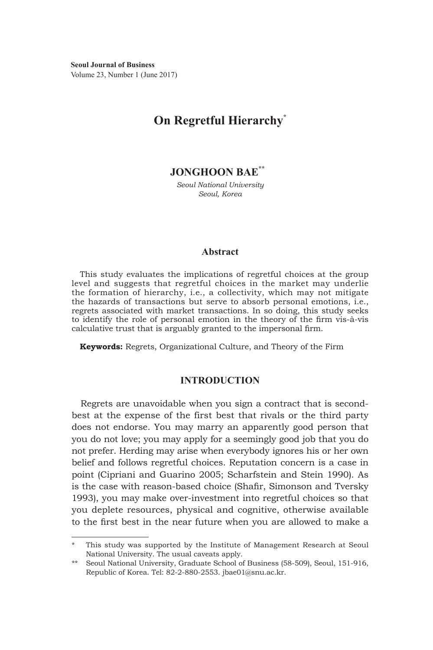**Seoul Journal of Business** Volume 23, Number 1 (June 2017)

# **On Regretful Hierarchy\***

**JONGHOON BAE\*\*** 

*Seoul National University Seoul, Korea*

#### **Abstract**

This study evaluates the implications of regretful choices at the group level and suggests that regretful choices in the market may underlie the formation of hierarchy, i.e., a collectivity, which may not mitigate the hazards of transactions but serve to absorb personal emotions, i.e., regrets associated with market transactions. In so doing, this study seeks to identify the role of personal emotion in the theory of the firm vis-à-vis calculative trust that is arguably granted to the impersonal firm.

**Keywords:** Regrets, Organizational Culture, and Theory of the Firm

# **INTRODUCTION**

Regrets are unavoidable when you sign a contract that is secondbest at the expense of the first best that rivals or the third party does not endorse. You may marry an apparently good person that you do not love; you may apply for a seemingly good job that you do not prefer. Herding may arise when everybody ignores his or her own belief and follows regretful choices. Reputation concern is a case in point (Cipriani and Guarino 2005; Scharfstein and Stein 1990). As is the case with reason-based choice (Shafir, Simonson and Tversky 1993), you may make over-investment into regretful choices so that you deplete resources, physical and cognitive, otherwise available to the first best in the near future when you are allowed to make a

This study was supported by the Institute of Management Research at Seoul National University. The usual caveats apply.

<sup>\*\*</sup> Seoul National University, Graduate School of Business (58-509), Seoul, 151-916, Republic of Korea. Tel: 82-2-880-2553. jbae01@snu.ac.kr.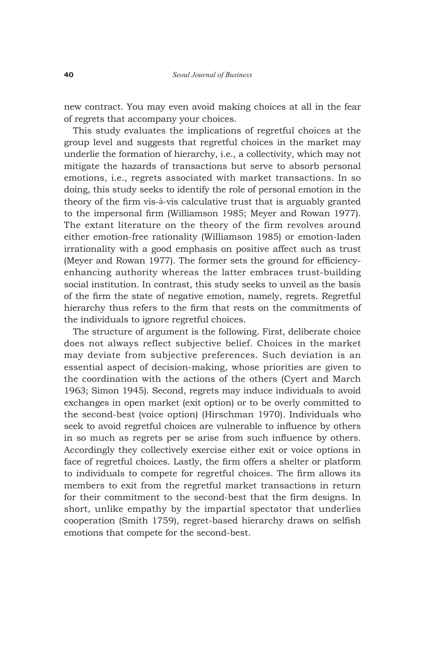new contract. You may even avoid making choices at all in the fear of regrets that accompany your choices.

This study evaluates the implications of regretful choices at the group level and suggests that regretful choices in the market may underlie the formation of hierarchy, i.e., a collectivity, which may not mitigate the hazards of transactions but serve to absorb personal emotions, i.e., regrets associated with market transactions. In so doing, this study seeks to identify the role of personal emotion in the theory of the firm vis-à-vis calculative trust that is arguably granted to the impersonal firm (Williamson 1985; Meyer and Rowan 1977). The extant literature on the theory of the firm revolves around either emotion-free rationality (Williamson 1985) or emotion-laden irrationality with a good emphasis on positive affect such as trust (Meyer and Rowan 1977). The former sets the ground for efficiencyenhancing authority whereas the latter embraces trust-building social institution. In contrast, this study seeks to unveil as the basis of the firm the state of negative emotion, namely, regrets. Regretful hierarchy thus refers to the firm that rests on the commitments of the individuals to ignore regretful choices.

The structure of argument is the following. First, deliberate choice does not always reflect subjective belief. Choices in the market may deviate from subjective preferences. Such deviation is an essential aspect of decision-making, whose priorities are given to the coordination with the actions of the others (Cyert and March 1963; Simon 1945). Second, regrets may induce individuals to avoid exchanges in open market (exit option) or to be overly committed to the second-best (voice option) (Hirschman 1970). Individuals who seek to avoid regretful choices are vulnerable to influence by others in so much as regrets per se arise from such influence by others. Accordingly they collectively exercise either exit or voice options in face of regretful choices. Lastly, the firm offers a shelter or platform to individuals to compete for regretful choices. The firm allows its members to exit from the regretful market transactions in return for their commitment to the second-best that the firm designs. In short, unlike empathy by the impartial spectator that underlies cooperation (Smith 1759), regret-based hierarchy draws on selfish emotions that compete for the second-best.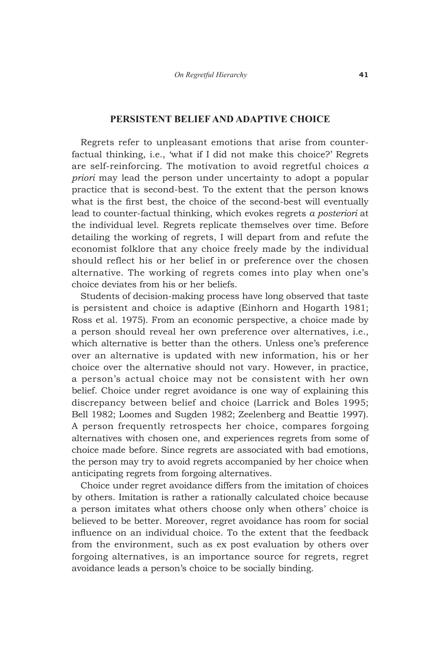## **PERSISTENT BELIEF AND ADAPTIVE CHOICE**

Regrets refer to unpleasant emotions that arise from counterfactual thinking, i.e., 'what if I did not make this choice?' Regrets are self-reinforcing. The motivation to avoid regretful choices *a priori* may lead the person under uncertainty to adopt a popular practice that is second-best. To the extent that the person knows what is the first best, the choice of the second-best will eventually lead to counter-factual thinking, which evokes regrets *a posteriori* at the individual level. Regrets replicate themselves over time. Before detailing the working of regrets, I will depart from and refute the economist folklore that any choice freely made by the individual should reflect his or her belief in or preference over the chosen alternative. The working of regrets comes into play when one's choice deviates from his or her beliefs.

Students of decision-making process have long observed that taste is persistent and choice is adaptive (Einhorn and Hogarth 1981; Ross et al. 1975). From an economic perspective, a choice made by a person should reveal her own preference over alternatives, i.e., which alternative is better than the others. Unless one's preference over an alternative is updated with new information, his or her choice over the alternative should not vary. However, in practice, a person's actual choice may not be consistent with her own belief. Choice under regret avoidance is one way of explaining this discrepancy between belief and choice (Larrick and Boles 1995; Bell 1982; Loomes and Sugden 1982; Zeelenberg and Beattie 1997). A person frequently retrospects her choice, compares forgoing alternatives with chosen one, and experiences regrets from some of choice made before. Since regrets are associated with bad emotions, the person may try to avoid regrets accompanied by her choice when anticipating regrets from forgoing alternatives.

Choice under regret avoidance differs from the imitation of choices by others. Imitation is rather a rationally calculated choice because a person imitates what others choose only when others' choice is believed to be better. Moreover, regret avoidance has room for social influence on an individual choice. To the extent that the feedback from the environment, such as ex post evaluation by others over forgoing alternatives, is an importance source for regrets, regret avoidance leads a person's choice to be socially binding.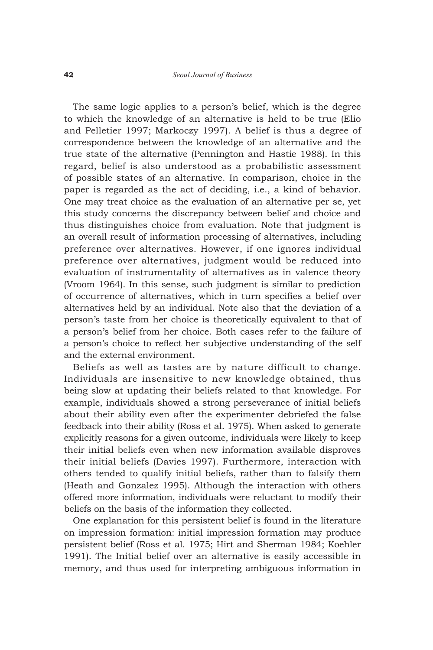The same logic applies to a person's belief, which is the degree to which the knowledge of an alternative is held to be true (Elio and Pelletier 1997; Markoczy 1997). A belief is thus a degree of correspondence between the knowledge of an alternative and the true state of the alternative (Pennington and Hastie 1988). In this regard, belief is also understood as a probabilistic assessment of possible states of an alternative. In comparison, choice in the paper is regarded as the act of deciding, i.e., a kind of behavior. One may treat choice as the evaluation of an alternative per se, yet this study concerns the discrepancy between belief and choice and thus distinguishes choice from evaluation. Note that judgment is an overall result of information processing of alternatives, including preference over alternatives. However, if one ignores individual preference over alternatives, judgment would be reduced into evaluation of instrumentality of alternatives as in valence theory (Vroom 1964). In this sense, such judgment is similar to prediction of occurrence of alternatives, which in turn specifies a belief over alternatives held by an individual. Note also that the deviation of a person's taste from her choice is theoretically equivalent to that of a person's belief from her choice. Both cases refer to the failure of a person's choice to reflect her subjective understanding of the self and the external environment.

Beliefs as well as tastes are by nature difficult to change. Individuals are insensitive to new knowledge obtained, thus being slow at updating their beliefs related to that knowledge. For example, individuals showed a strong perseverance of initial beliefs about their ability even after the experimenter debriefed the false feedback into their ability (Ross et al. 1975). When asked to generate explicitly reasons for a given outcome, individuals were likely to keep their initial beliefs even when new information available disproves their initial beliefs (Davies 1997). Furthermore, interaction with others tended to qualify initial beliefs, rather than to falsify them (Heath and Gonzalez 1995). Although the interaction with others offered more information, individuals were reluctant to modify their beliefs on the basis of the information they collected.

One explanation for this persistent belief is found in the literature on impression formation: initial impression formation may produce persistent belief (Ross et al. 1975; Hirt and Sherman 1984; Koehler 1991). The Initial belief over an alternative is easily accessible in memory, and thus used for interpreting ambiguous information in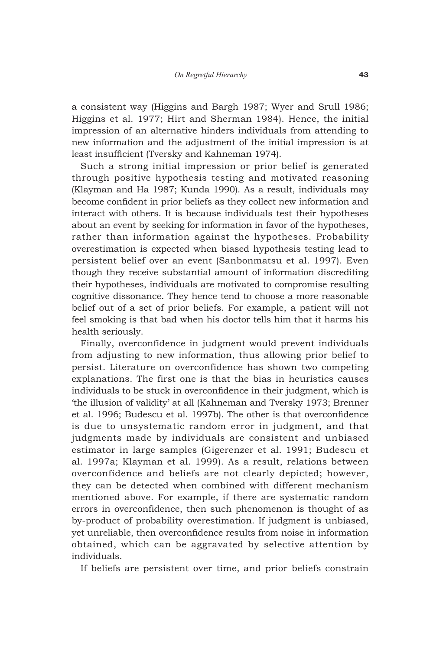a consistent way (Higgins and Bargh 1987; Wyer and Srull 1986; Higgins et al. 1977; Hirt and Sherman 1984). Hence, the initial impression of an alternative hinders individuals from attending to new information and the adjustment of the initial impression is at least insufficient (Tversky and Kahneman 1974).

Such a strong initial impression or prior belief is generated through positive hypothesis testing and motivated reasoning (Klayman and Ha 1987; Kunda 1990). As a result, individuals may become confident in prior beliefs as they collect new information and interact with others. It is because individuals test their hypotheses about an event by seeking for information in favor of the hypotheses, rather than information against the hypotheses. Probability overestimation is expected when biased hypothesis testing lead to persistent belief over an event (Sanbonmatsu et al. 1997). Even though they receive substantial amount of information discrediting their hypotheses, individuals are motivated to compromise resulting cognitive dissonance. They hence tend to choose a more reasonable belief out of a set of prior beliefs. For example, a patient will not feel smoking is that bad when his doctor tells him that it harms his health seriously.

Finally, overconfidence in judgment would prevent individuals from adjusting to new information, thus allowing prior belief to persist. Literature on overconfidence has shown two competing explanations. The first one is that the bias in heuristics causes individuals to be stuck in overconfidence in their judgment, which is 'the illusion of validity' at all (Kahneman and Tversky 1973; Brenner et al. 1996; Budescu et al. 1997b). The other is that overconfidence is due to unsystematic random error in judgment, and that judgments made by individuals are consistent and unbiased estimator in large samples (Gigerenzer et al. 1991; Budescu et al. 1997a; Klayman et al. 1999). As a result, relations between overconfidence and beliefs are not clearly depicted; however, they can be detected when combined with different mechanism mentioned above. For example, if there are systematic random errors in overconfidence, then such phenomenon is thought of as by-product of probability overestimation. If judgment is unbiased, yet unreliable, then overconfidence results from noise in information obtained, which can be aggravated by selective attention by individuals.

If beliefs are persistent over time, and prior beliefs constrain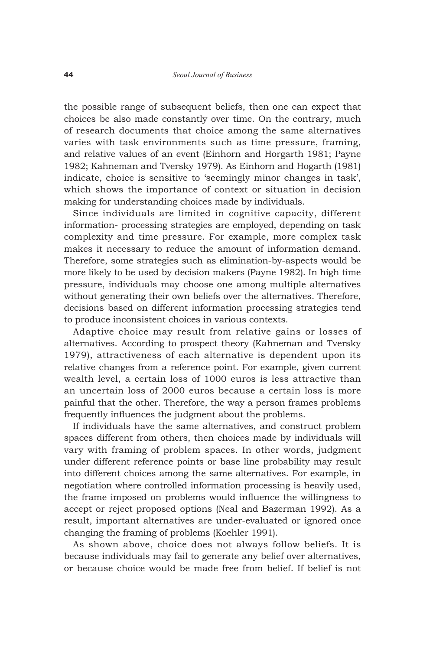the possible range of subsequent beliefs, then one can expect that choices be also made constantly over time. On the contrary, much of research documents that choice among the same alternatives varies with task environments such as time pressure, framing, and relative values of an event (Einhorn and Horgarth 1981; Payne 1982; Kahneman and Tversky 1979). As Einhorn and Hogarth (1981) indicate, choice is sensitive to 'seemingly minor changes in task', which shows the importance of context or situation in decision making for understanding choices made by individuals.

Since individuals are limited in cognitive capacity, different information- processing strategies are employed, depending on task complexity and time pressure. For example, more complex task makes it necessary to reduce the amount of information demand. Therefore, some strategies such as elimination-by-aspects would be more likely to be used by decision makers (Payne 1982). In high time pressure, individuals may choose one among multiple alternatives without generating their own beliefs over the alternatives. Therefore, decisions based on different information processing strategies tend to produce inconsistent choices in various contexts.

Adaptive choice may result from relative gains or losses of alternatives. According to prospect theory (Kahneman and Tversky 1979), attractiveness of each alternative is dependent upon its relative changes from a reference point. For example, given current wealth level, a certain loss of 1000 euros is less attractive than an uncertain loss of 2000 euros because a certain loss is more painful that the other. Therefore, the way a person frames problems frequently influences the judgment about the problems.

If individuals have the same alternatives, and construct problem spaces different from others, then choices made by individuals will vary with framing of problem spaces. In other words, judgment under different reference points or base line probability may result into different choices among the same alternatives. For example, in negotiation where controlled information processing is heavily used, the frame imposed on problems would influence the willingness to accept or reject proposed options (Neal and Bazerman 1992). As a result, important alternatives are under-evaluated or ignored once changing the framing of problems (Koehler 1991).

As shown above, choice does not always follow beliefs. It is because individuals may fail to generate any belief over alternatives, or because choice would be made free from belief. If belief is not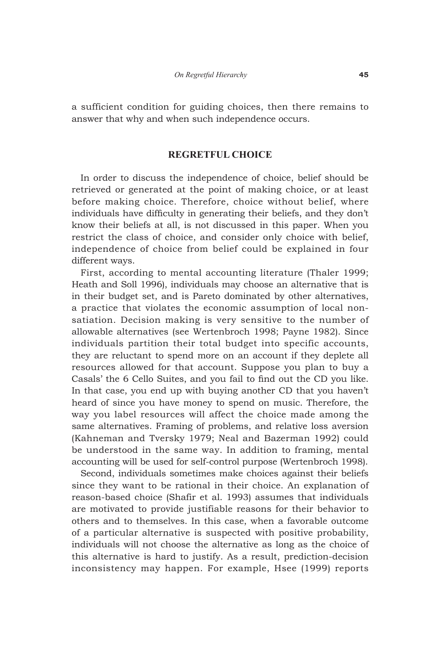a sufficient condition for guiding choices, then there remains to answer that why and when such independence occurs.

### **REGRETFUL CHOICE**

In order to discuss the independence of choice, belief should be retrieved or generated at the point of making choice, or at least before making choice. Therefore, choice without belief, where individuals have difficulty in generating their beliefs, and they don't know their beliefs at all, is not discussed in this paper. When you restrict the class of choice, and consider only choice with belief, independence of choice from belief could be explained in four different ways.

First, according to mental accounting literature (Thaler 1999; Heath and Soll 1996), individuals may choose an alternative that is in their budget set, and is Pareto dominated by other alternatives, a practice that violates the economic assumption of local nonsatiation. Decision making is very sensitive to the number of allowable alternatives (see Wertenbroch 1998; Payne 1982). Since individuals partition their total budget into specific accounts, they are reluctant to spend more on an account if they deplete all resources allowed for that account. Suppose you plan to buy a Casals' the 6 Cello Suites, and you fail to find out the CD you like. In that case, you end up with buying another CD that you haven't heard of since you have money to spend on music. Therefore, the way you label resources will affect the choice made among the same alternatives. Framing of problems, and relative loss aversion (Kahneman and Tversky 1979; Neal and Bazerman 1992) could be understood in the same way. In addition to framing, mental accounting will be used for self-control purpose (Wertenbroch 1998).

Second, individuals sometimes make choices against their beliefs since they want to be rational in their choice. An explanation of reason-based choice (Shafir et al. 1993) assumes that individuals are motivated to provide justifiable reasons for their behavior to others and to themselves. In this case, when a favorable outcome of a particular alternative is suspected with positive probability, individuals will not choose the alternative as long as the choice of this alternative is hard to justify. As a result, prediction-decision inconsistency may happen. For example, Hsee (1999) reports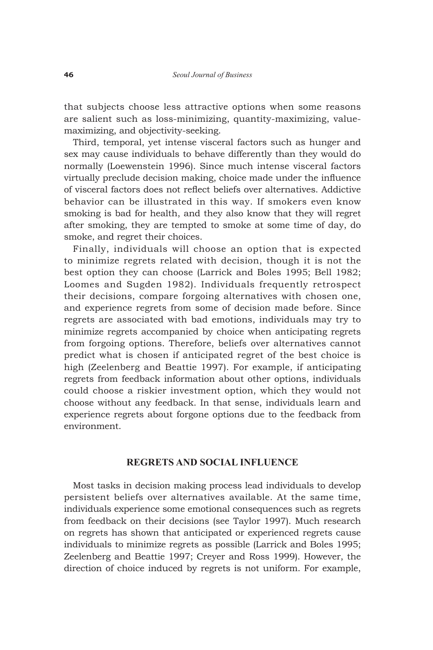that subjects choose less attractive options when some reasons are salient such as loss-minimizing, quantity-maximizing, valuemaximizing, and objectivity-seeking.

Third, temporal, yet intense visceral factors such as hunger and sex may cause individuals to behave differently than they would do normally (Loewenstein 1996). Since much intense visceral factors virtually preclude decision making, choice made under the influence of visceral factors does not reflect beliefs over alternatives. Addictive behavior can be illustrated in this way. If smokers even know smoking is bad for health, and they also know that they will regret after smoking, they are tempted to smoke at some time of day, do smoke, and regret their choices.

Finally, individuals will choose an option that is expected to minimize regrets related with decision, though it is not the best option they can choose (Larrick and Boles 1995; Bell 1982; Loomes and Sugden 1982). Individuals frequently retrospect their decisions, compare forgoing alternatives with chosen one, and experience regrets from some of decision made before. Since regrets are associated with bad emotions, individuals may try to minimize regrets accompanied by choice when anticipating regrets from forgoing options. Therefore, beliefs over alternatives cannot predict what is chosen if anticipated regret of the best choice is high (Zeelenberg and Beattie 1997). For example, if anticipating regrets from feedback information about other options, individuals could choose a riskier investment option, which they would not choose without any feedback. In that sense, individuals learn and experience regrets about forgone options due to the feedback from environment.

# **REGRETS AND SOCIAL INFLUENCE**

Most tasks in decision making process lead individuals to develop persistent beliefs over alternatives available. At the same time, individuals experience some emotional consequences such as regrets from feedback on their decisions (see Taylor 1997). Much research on regrets has shown that anticipated or experienced regrets cause individuals to minimize regrets as possible (Larrick and Boles 1995; Zeelenberg and Beattie 1997; Creyer and Ross 1999). However, the direction of choice induced by regrets is not uniform. For example,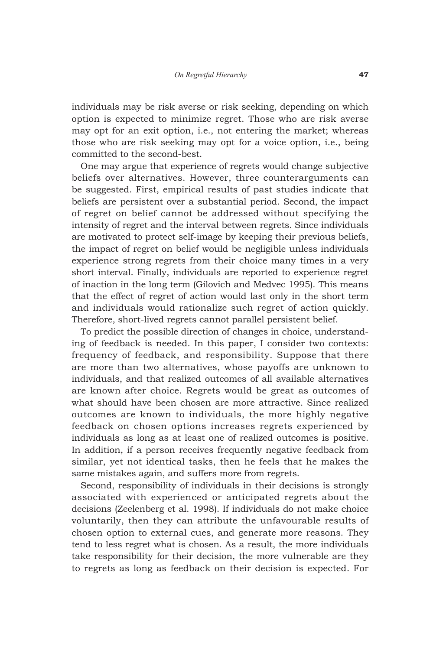individuals may be risk averse or risk seeking, depending on which option is expected to minimize regret. Those who are risk averse may opt for an exit option, i.e., not entering the market; whereas those who are risk seeking may opt for a voice option, i.e., being committed to the second-best.

One may argue that experience of regrets would change subjective beliefs over alternatives. However, three counterarguments can be suggested. First, empirical results of past studies indicate that beliefs are persistent over a substantial period. Second, the impact of regret on belief cannot be addressed without specifying the intensity of regret and the interval between regrets. Since individuals are motivated to protect self-image by keeping their previous beliefs, the impact of regret on belief would be negligible unless individuals experience strong regrets from their choice many times in a very short interval. Finally, individuals are reported to experience regret of inaction in the long term (Gilovich and Medvec 1995). This means that the effect of regret of action would last only in the short term and individuals would rationalize such regret of action quickly. Therefore, short-lived regrets cannot parallel persistent belief.

To predict the possible direction of changes in choice, understanding of feedback is needed. In this paper, I consider two contexts: frequency of feedback, and responsibility. Suppose that there are more than two alternatives, whose payoffs are unknown to individuals, and that realized outcomes of all available alternatives are known after choice. Regrets would be great as outcomes of what should have been chosen are more attractive. Since realized outcomes are known to individuals, the more highly negative feedback on chosen options increases regrets experienced by individuals as long as at least one of realized outcomes is positive. In addition, if a person receives frequently negative feedback from similar, yet not identical tasks, then he feels that he makes the same mistakes again, and suffers more from regrets.

Second, responsibility of individuals in their decisions is strongly associated with experienced or anticipated regrets about the decisions (Zeelenberg et al. 1998). If individuals do not make choice voluntarily, then they can attribute the unfavourable results of chosen option to external cues, and generate more reasons. They tend to less regret what is chosen. As a result, the more individuals take responsibility for their decision, the more vulnerable are they to regrets as long as feedback on their decision is expected. For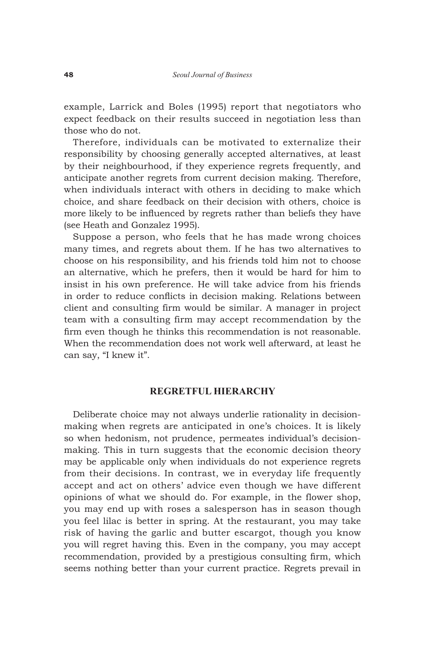example, Larrick and Boles (1995) report that negotiators who expect feedback on their results succeed in negotiation less than those who do not.

Therefore, individuals can be motivated to externalize their responsibility by choosing generally accepted alternatives, at least by their neighbourhood, if they experience regrets frequently, and anticipate another regrets from current decision making. Therefore, when individuals interact with others in deciding to make which choice, and share feedback on their decision with others, choice is more likely to be influenced by regrets rather than beliefs they have (see Heath and Gonzalez 1995).

Suppose a person, who feels that he has made wrong choices many times, and regrets about them. If he has two alternatives to choose on his responsibility, and his friends told him not to choose an alternative, which he prefers, then it would be hard for him to insist in his own preference. He will take advice from his friends in order to reduce conflicts in decision making. Relations between client and consulting firm would be similar. A manager in project team with a consulting firm may accept recommendation by the firm even though he thinks this recommendation is not reasonable. When the recommendation does not work well afterward, at least he can say, "I knew it".

# **REGRETFUL HIERARCHY**

Deliberate choice may not always underlie rationality in decisionmaking when regrets are anticipated in one's choices. It is likely so when hedonism, not prudence, permeates individual's decisionmaking. This in turn suggests that the economic decision theory may be applicable only when individuals do not experience regrets from their decisions. In contrast, we in everyday life frequently accept and act on others' advice even though we have different opinions of what we should do. For example, in the flower shop, you may end up with roses a salesperson has in season though you feel lilac is better in spring. At the restaurant, you may take risk of having the garlic and butter escargot, though you know you will regret having this. Even in the company, you may accept recommendation, provided by a prestigious consulting firm, which seems nothing better than your current practice. Regrets prevail in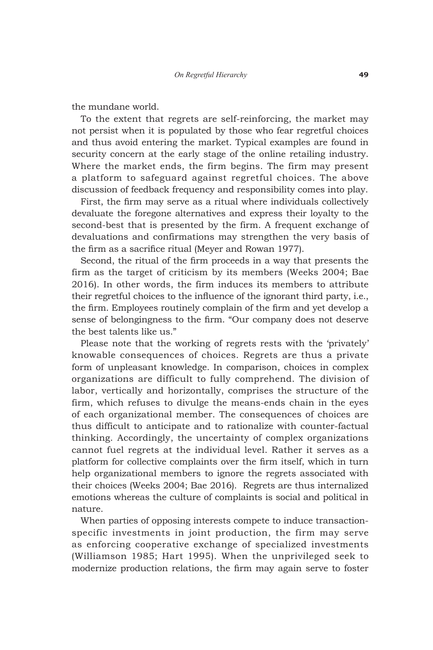the mundane world.

To the extent that regrets are self-reinforcing, the market may not persist when it is populated by those who fear regretful choices and thus avoid entering the market. Typical examples are found in security concern at the early stage of the online retailing industry. Where the market ends, the firm begins. The firm may present a platform to safeguard against regretful choices. The above discussion of feedback frequency and responsibility comes into play.

First, the firm may serve as a ritual where individuals collectively devaluate the foregone alternatives and express their loyalty to the second-best that is presented by the firm. A frequent exchange of devaluations and confirmations may strengthen the very basis of the firm as a sacrifice ritual (Meyer and Rowan 1977).

Second, the ritual of the firm proceeds in a way that presents the firm as the target of criticism by its members (Weeks 2004; Bae 2016). In other words, the firm induces its members to attribute their regretful choices to the influence of the ignorant third party, i.e., the firm. Employees routinely complain of the firm and yet develop a sense of belongingness to the firm. "Our company does not deserve the best talents like us."

Please note that the working of regrets rests with the 'privately' knowable consequences of choices. Regrets are thus a private form of unpleasant knowledge. In comparison, choices in complex organizations are difficult to fully comprehend. The division of labor, vertically and horizontally, comprises the structure of the firm, which refuses to divulge the means-ends chain in the eyes of each organizational member. The consequences of choices are thus difficult to anticipate and to rationalize with counter-factual thinking. Accordingly, the uncertainty of complex organizations cannot fuel regrets at the individual level. Rather it serves as a platform for collective complaints over the firm itself, which in turn help organizational members to ignore the regrets associated with their choices (Weeks 2004; Bae 2016). Regrets are thus internalized emotions whereas the culture of complaints is social and political in nature.

When parties of opposing interests compete to induce transactionspecific investments in joint production, the firm may serve as enforcing cooperative exchange of specialized investments (Williamson 1985; Hart 1995). When the unprivileged seek to modernize production relations, the firm may again serve to foster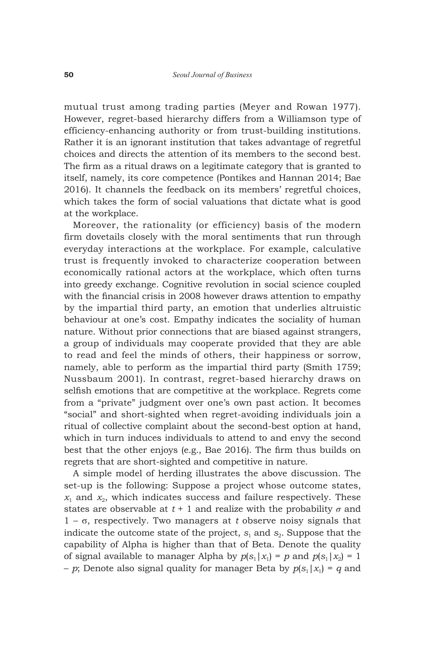mutual trust among trading parties (Meyer and Rowan 1977). However, regret-based hierarchy differs from a Williamson type of efficiency-enhancing authority or from trust-building institutions. Rather it is an ignorant institution that takes advantage of regretful choices and directs the attention of its members to the second best. The firm as a ritual draws on a legitimate category that is granted to itself, namely, its core competence (Pontikes and Hannan 2014; Bae 2016). It channels the feedback on its members' regretful choices, which takes the form of social valuations that dictate what is good at the workplace.

Moreover, the rationality (or efficiency) basis of the modern firm dovetails closely with the moral sentiments that run through everyday interactions at the workplace. For example, calculative trust is frequently invoked to characterize cooperation between economically rational actors at the workplace, which often turns into greedy exchange. Cognitive revolution in social science coupled with the financial crisis in 2008 however draws attention to empathy by the impartial third party, an emotion that underlies altruistic behaviour at one's cost. Empathy indicates the sociality of human nature. Without prior connections that are biased against strangers, a group of individuals may cooperate provided that they are able to read and feel the minds of others, their happiness or sorrow, namely, able to perform as the impartial third party (Smith 1759; Nussbaum 2001). In contrast, regret-based hierarchy draws on selfish emotions that are competitive at the workplace. Regrets come from a "private" judgment over one's own past action. It becomes "social" and short-sighted when regret-avoiding individuals join a ritual of collective complaint about the second-best option at hand, which in turn induces individuals to attend to and envy the second best that the other enjoys (e.g., Bae 2016). The firm thus builds on regrets that are short-sighted and competitive in nature.

A simple model of herding illustrates the above discussion. The set-up is the following: Suppose a project whose outcome states,  $x_1$  and  $x_2$ , which indicates success and failure respectively. These states are observable at  $t + 1$  and realize with the probability  $\sigma$  and 1 – σ, respectively. Two managers at *t* observe noisy signals that indicate the outcome state of the project,  $s_1$  and  $s_2$ . Suppose that the capability of Alpha is higher than that of Beta. Denote the quality of signal available to manager Alpha by  $p(s_1|x_1) = p$  and  $p(s_1|x_2) = 1$  $-p$ ; Denote also signal quality for manager Beta by  $p(s_1|x_1) = q$  and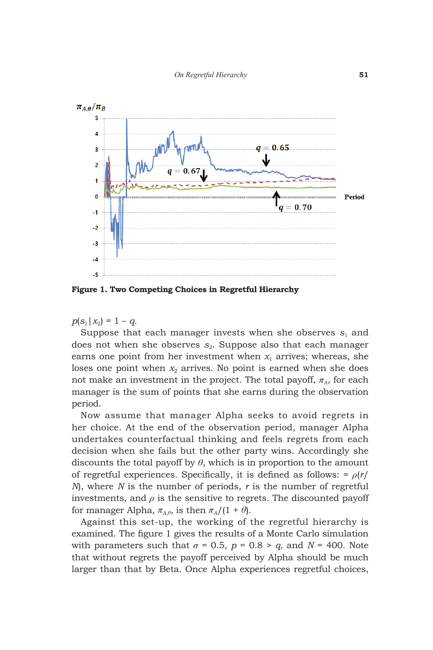

**Figure 1. Two Competing Choices in Regretful Hierarchy**

 $p(s_1|x_2) = 1 - q$ .

Suppose that each manager invests when she observes  $s_1$  and does not when she observes  $s_2$ . Suppose also that each manager earns one point from her investment when  $x_1$  arrives; whereas, she loses one point when  $x_2$  arrives. No point is earned when she does not make an investment in the project. The total payoff,  $\pi_A$ , for each manager is the sum of points that she earns during the observation period.

Now assume that manager Alpha seeks to avoid regrets in her choice. At the end of the observation period, manager Alpha undertakes counterfactual thinking and feels regrets from each decision when she fails but the other party wins. Accordingly she discounts the total payoff by  $\theta$ , which is in proportion to the amount of regretful experiences. Specifically, it is defined as follows: = *ρ*(*r*/ *N*), where *N* is the number of periods, *r* is the number of regretful investments, and  $\rho$  is the sensitive to regrets. The discounted payoff for manager Alpha,  $\pi_{A,\theta}$ , is then  $\pi_A/(1+\theta)$ .

Against this set-up, the working of the regretful hierarchy is examined. The figure 1 gives the results of a Monte Carlo simulation with parameters such that  $\sigma = 0.5$ ,  $p = 0.8 > q$ , and  $N = 400$ . Note that without regrets the payoff perceived by Alpha should be much larger than that by Beta. Once Alpha experiences regretful choices,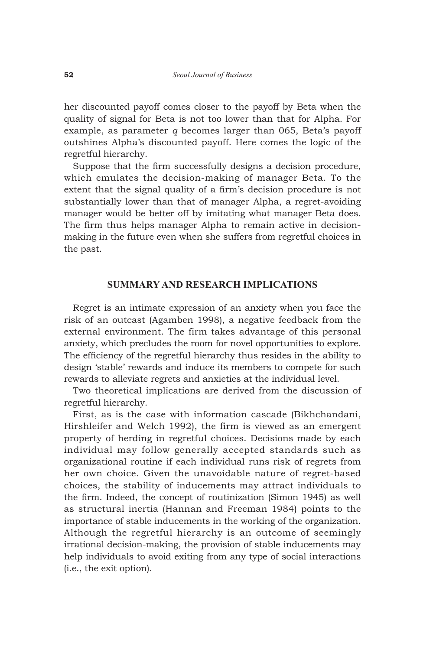her discounted payoff comes closer to the payoff by Beta when the quality of signal for Beta is not too lower than that for Alpha. For example, as parameter *q* becomes larger than 065, Beta's payoff outshines Alpha's discounted payoff. Here comes the logic of the regretful hierarchy.

Suppose that the firm successfully designs a decision procedure, which emulates the decision-making of manager Beta. To the extent that the signal quality of a firm's decision procedure is not substantially lower than that of manager Alpha, a regret-avoiding manager would be better off by imitating what manager Beta does. The firm thus helps manager Alpha to remain active in decisionmaking in the future even when she suffers from regretful choices in the past.

## **SUMMARY AND RESEARCH IMPLICATIONS**

Regret is an intimate expression of an anxiety when you face the risk of an outcast (Agamben 1998), a negative feedback from the external environment. The firm takes advantage of this personal anxiety, which precludes the room for novel opportunities to explore. The efficiency of the regretful hierarchy thus resides in the ability to design 'stable' rewards and induce its members to compete for such rewards to alleviate regrets and anxieties at the individual level.

Two theoretical implications are derived from the discussion of regretful hierarchy.

First, as is the case with information cascade (Bikhchandani, Hirshleifer and Welch 1992), the firm is viewed as an emergent property of herding in regretful choices. Decisions made by each individual may follow generally accepted standards such as organizational routine if each individual runs risk of regrets from her own choice. Given the unavoidable nature of regret-based choices, the stability of inducements may attract individuals to the firm. Indeed, the concept of routinization (Simon 1945) as well as structural inertia (Hannan and Freeman 1984) points to the importance of stable inducements in the working of the organization. Although the regretful hierarchy is an outcome of seemingly irrational decision-making, the provision of stable inducements may help individuals to avoid exiting from any type of social interactions (i.e., the exit option).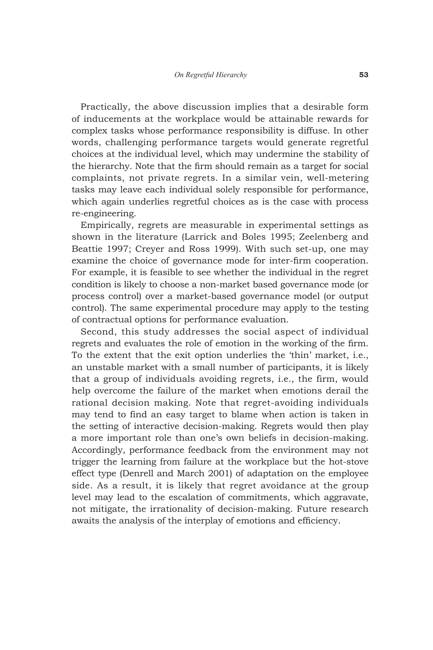Practically, the above discussion implies that a desirable form of inducements at the workplace would be attainable rewards for complex tasks whose performance responsibility is diffuse. In other words, challenging performance targets would generate regretful choices at the individual level, which may undermine the stability of the hierarchy. Note that the firm should remain as a target for social complaints, not private regrets. In a similar vein, well-metering tasks may leave each individual solely responsible for performance, which again underlies regretful choices as is the case with process re-engineering.

Empirically, regrets are measurable in experimental settings as shown in the literature (Larrick and Boles 1995; Zeelenberg and Beattie 1997; Creyer and Ross 1999). With such set-up, one may examine the choice of governance mode for inter-firm cooperation. For example, it is feasible to see whether the individual in the regret condition is likely to choose a non-market based governance mode (or process control) over a market-based governance model (or output control). The same experimental procedure may apply to the testing of contractual options for performance evaluation.

Second, this study addresses the social aspect of individual regrets and evaluates the role of emotion in the working of the firm. To the extent that the exit option underlies the 'thin' market, i.e., an unstable market with a small number of participants, it is likely that a group of individuals avoiding regrets, i.e., the firm, would help overcome the failure of the market when emotions derail the rational decision making. Note that regret-avoiding individuals may tend to find an easy target to blame when action is taken in the setting of interactive decision-making. Regrets would then play a more important role than one's own beliefs in decision-making. Accordingly, performance feedback from the environment may not trigger the learning from failure at the workplace but the hot-stove effect type (Denrell and March 2001) of adaptation on the employee side. As a result, it is likely that regret avoidance at the group level may lead to the escalation of commitments, which aggravate, not mitigate, the irrationality of decision-making. Future research awaits the analysis of the interplay of emotions and efficiency.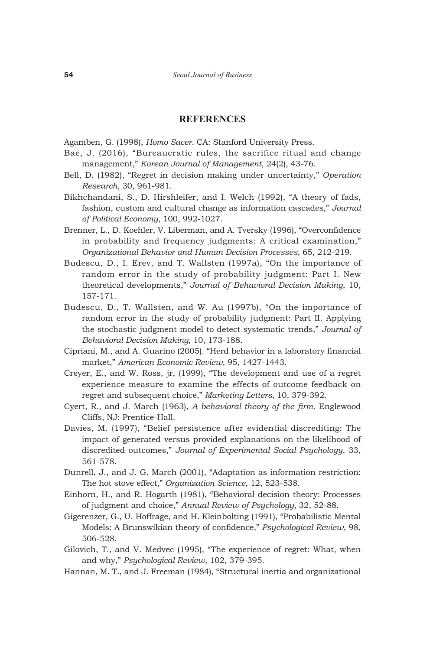#### **REFERENCES**

Agamben, G. (1998), *Homo Sacer*. CA: Stanford University Press.

- Bae, J. (2016), "Bureaucratic rules, the sacrifice ritual and change management," *Korean Journal of Management*, 24(2), 43-76.
- Bell, D. (1982), "Regret in decision making under uncertainty," *Operation Research*, 30, 961-981.
- Bikhchandani, S., D. Hirshleifer, and I. Welch (1992), "A theory of fads, fashion, custom and cultural change as information cascades," *Journal of Political Economy*, 100, 992-1027.
- Brenner, L., D. Koehler, V. Liberman, and A. Tversky (1996), "Overconfidence in probability and frequency judgments: A critical examination," *Organizational Behavior and Human Decision Processes*, 65, 212-219.
- Budescu, D., I. Erev, and T. Wallsten (1997a), "On the importance of random error in the study of probability judgment: Part I. New theoretical developments," *Journal of Behavioral Decision Making*, 10, 157-171.
- Budescu, D., T. Wallsten, and W. Au (1997b), "On the importance of random error in the study of probability judgment: Part II. Applying the stochastic judgment model to detect systematic trends," *Journal of Behavioral Decision Making*, 10, 173-188.
- Cipriani, M., and A. Guarino (2005). "Herd behavior in a laboratory financial market," *American Economic Review*, 95, 1427-1443.
- Creyer, E., and W. Ross, jr, (1999), "The development and use of a regret experience measure to examine the effects of outcome feedback on regret and subsequent choice," *Marketing Letters*, 10, 379-392.
- Cyert, R., and J. March (1963), *A behavioral theory of the firm*. Englewood Cliffs, NJ: Prentice-Hall.
- Davies, M. (1997), "Belief persistence after evidential discrediting: The impact of generated versus provided explanations on the likelihood of discredited outcomes," *Journal of Experimental Social Psychology*, 33, 561-578.
- Dunrell, J., and J. G. March (2001), "Adaptation as information restriction: The hot stove effect," *Organization Science*, 12, 523-538.
- Einhorn, H., and R. Hogarth (1981), "Behavioral decision theory: Processes of judgment and choice," *Annual Review of Psychology*, 32, 52-88.
- Gigerenzer, G., U. Hoffrage, and H. Kleinbolting (1991), "Probabilistic Mental Models: A Brunswikian theory of confidence," *Psychological Review*, 98, 506-528.
- Gilovich, T., and V. Medvec (1995), "The experience of regret: What, when and why," *Psychological Review*, 102, 379-395.
- Hannan, M. T., and J. Freeman (1984), "Structural inertia and organizational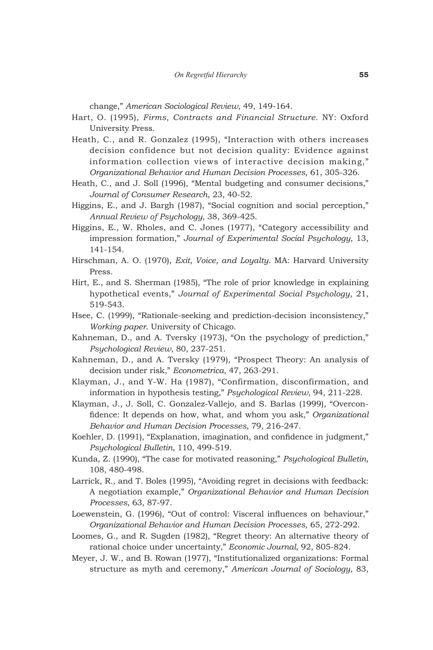change," *American Sociological Review*, 49, 149-164.

- Hart, O. (1995), *Firms, Contracts and Financial Structure*. NY: Oxford University Press.
- Heath, C., and R. Gonzalez (1995), "Interaction with others increases decision confidence but not decision quality: Evidence against information collection views of interactive decision making," *Organizational Behavior and Human Decision Processes*, 61, 305-326.
- Heath, C., and J. Soll (1996), "Mental budgeting and consumer decisions," *Journal of Consumer Research*, 23, 40-52.
- Higgins, E., and J. Bargh (1987), "Social cognition and social perception," *Annual Review of Psychology*, 38, 369-425.
- Higgins, E., W. Rholes, and C. Jones (1977), "Category accessibility and impression formation," *Journal of Experimental Social Psychology*, 13, 141-154.
- Hirschman, A. O. (1970), *Exit, Voice, and Loyalty*. MA: Harvard University Press.
- Hirt, E., and S. Sherman (1985), "The role of prior knowledge in explaining hypothetical events," *Journal of Experimental Social Psychology*, 21, 519-543.
- Hsee, C. (1999), "Rationale-seeking and prediction-decision inconsistency," *Working paper*. University of Chicago.
- Kahneman, D., and A. Tversky (1973), "On the psychology of prediction," *Psychological Review*, 80, 237-251.
- Kahneman, D., and A. Tversky (1979), "Prospect Theory: An analysis of decision under risk," *Econometrica*, 47, 263-291.
- Klayman, J., and Y-W. Ha (1987), "Confirmation, disconfirmation, and information in hypothesis testing," *Psychological Review*, 94, 211-228.
- Klayman, J., J. Soll, C. Gonzalez-Vallejo, and S. Barlas (1999), "Overconfidence: It depends on how, what, and whom you ask," *Organizational Behavior and Human Decision Processes*, 79, 216-247.
- Koehler, D. (1991), "Explanation, imagination, and confidence in judgment," *Psychological Bulletin*, 110, 499-519.
- Kunda, Z. (1990), "The case for motivated reasoning," *Psychological Bulletin*, 108, 480-498.
- Larrick, R., and T. Boles (1995), "Avoiding regret in decisions with feedback: A negotiation example," *Organizational Behavior and Human Decision Processes*, 63, 87-97.
- Loewenstein, G. (1996), "Out of control: Visceral influences on behaviour," *Organizational Behavior and Human Decision Processes*, 65, 272-292.
- Loomes, G., and R. Sugden (1982), "Regret theory: An alternative theory of rational choice under uncertainty," *Economic Journal*, 92, 805-824.
- Meyer, J. W., and B. Rowan (1977), "Institutionalized organizations: Formal structure as myth and ceremony," *American Journal of Sociology*, 83,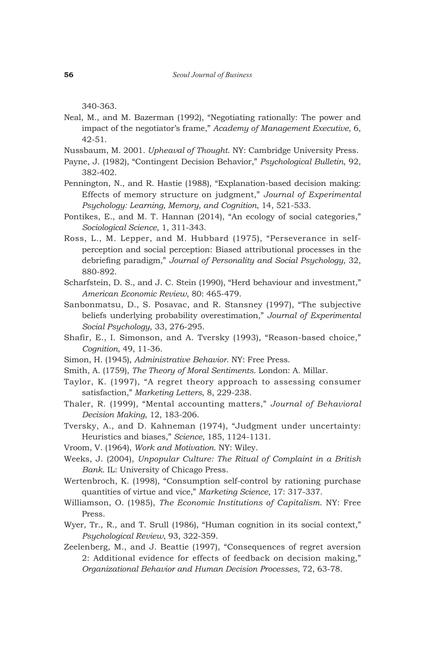340-363.

- Neal, M., and M. Bazerman (1992), "Negotiating rationally: The power and impact of the negotiator's frame," *Academy of Management Executive*, 6, 42-51.
- Nussbaum, M. 2001. *Upheaval of Thought*. NY: Cambridge University Press.
- Payne, J. (1982), "Contingent Decision Behavior," *Psychological Bulletin*, 92, 382-402.
- Pennington, N., and R. Hastie (1988), "Explanation-based decision making: Effects of memory structure on judgment," *Journal of Experimental Psychology: Learning, Memory, and Cognition*, 14, 521-533.
- Pontikes, E., and M. T. Hannan (2014), "An ecology of social categories," *Sociological Science*, 1, 311-343.
- Ross, L., M. Lepper, and M. Hubbard (1975), "Perseverance in selfperception and social perception: Biased attributional processes in the debriefing paradigm," *Journal of Personality and Social Psychology,* 32, 880-892.
- Scharfstein, D. S., and J. C. Stein (1990), "Herd behaviour and investment," *American Economic Review*, 80: 465-479.
- Sanbonmatsu, D., S. Posavac, and R. Stansney (1997), "The subjective beliefs underlying probability overestimation," *Journal of Experimental Social Psychology*, 33, 276-295.
- Shafir, E., I. Simonson, and A. Tversky (1993), "Reason-based choice," *Cognition*, 49, 11-36.
- Simon, H. (1945), *Administrative Behavior*. NY: Free Press.
- Smith, A. (1759), *The Theory of Moral Sentiments*. London: A. Millar.
- Taylor, K. (1997), "A regret theory approach to assessing consumer satisfaction," *Marketing Letters*, 8, 229-238.
- Thaler, R. (1999), "Mental accounting matters," *Journal of Behavioral Decision Making*, 12, 183-206.
- Tversky, A., and D. Kahneman (1974), "Judgment under uncertainty: Heuristics and biases," *Science*, 185, 1124-1131.
- Vroom, V. (1964), *Work and Motivation*. NY: Wiley.
- Weeks, J. (2004), *Unpopular Culture: The Ritual of Complaint in a British Bank*. IL: University of Chicago Press.
- Wertenbroch, K. (1998), "Consumption self-control by rationing purchase quantities of virtue and vice," *Marketing Science*, 17: 317-337.
- Williamson, O. (1985), *The Economic Institutions of Capitalism*. NY: Free Press.
- Wyer, Tr., R., and T. Srull (1986), "Human cognition in its social context," *Psychological Review*, 93, 322-359.
- Zeelenberg, M., and J. Beattie (1997), "Consequences of regret aversion 2: Additional evidence for effects of feedback on decision making," *Organizational Behavior and Human Decision Processes*, 72, 63-78.